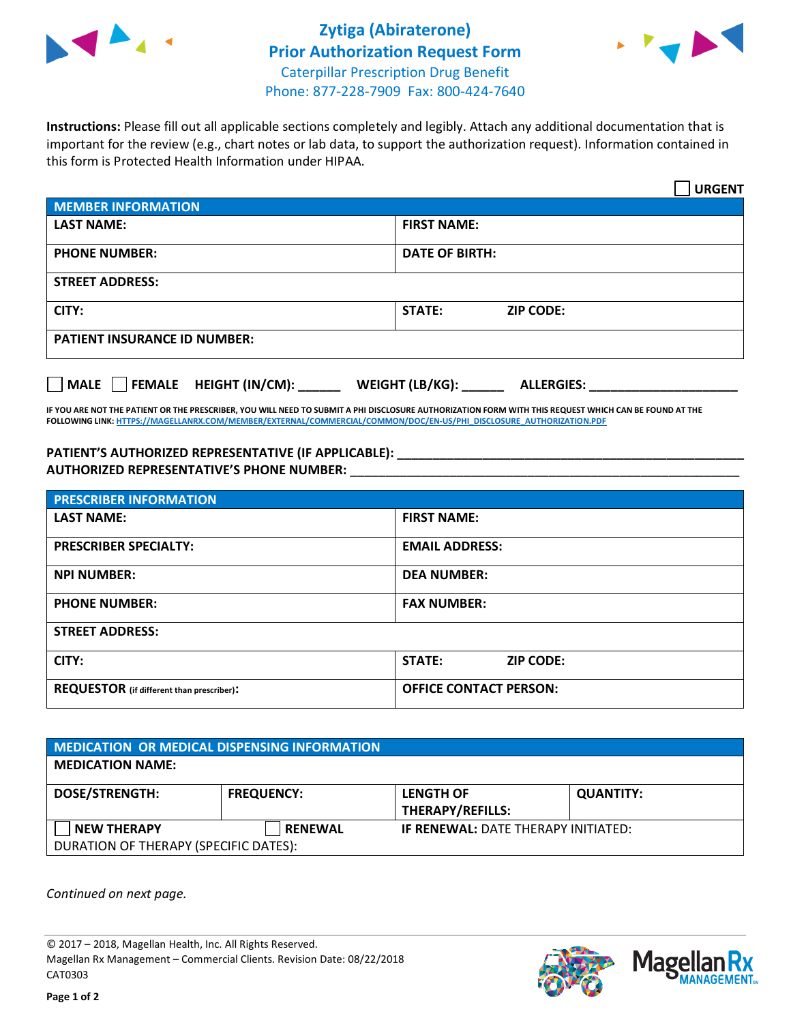



**Instructions:** Please fill out all applicable sections completely and legibly. Attach any additional documentation that is important for the review (e.g., chart notes or lab data, to support the authorization request). Information contained in this form is Protected Health Information under HIPAA.

|                                       | <b>URGENT</b>                        |  |  |  |
|---------------------------------------|--------------------------------------|--|--|--|
| <b>MEMBER INFORMATION</b>             |                                      |  |  |  |
| <b>LAST NAME:</b>                     | <b>FIRST NAME:</b>                   |  |  |  |
| <b>PHONE NUMBER:</b>                  | <b>DATE OF BIRTH:</b>                |  |  |  |
| <b>STREET ADDRESS:</b>                |                                      |  |  |  |
| CITY:                                 | <b>ZIP CODE:</b><br>STATE:           |  |  |  |
| <b>PATIENT INSURANCE ID NUMBER:</b>   |                                      |  |  |  |
| FEMALE HEIGHT (IN/CM):<br><b>MALE</b> | WEIGHT (LB/KG):<br><b>ALLERGIES:</b> |  |  |  |

**IF YOU ARE NOT THE PATIENT OR THE PRESCRIBER, YOU WILL NEED TO SUBMIT A PHI DISCLOSURE AUTHORIZATION FORM WITH THIS REQUEST WHICH CAN BE FOUND AT THE FOLLOWING LINK[: HTTPS://MAGELLANRX.COM/MEMBER/EXTERNAL/COMMERCIAL/COMMON/DOC/EN-US/PHI\\_DISCLOSURE\\_AUTHORIZATION.PDF](https://magellanrx.com/member/external/commercial/common/doc/en-us/PHI_Disclosure_Authorization.pdf)**

**PATIENT'S AUTHORIZED REPRESENTATIVE (IF APPLICABLE): \_\_\_\_\_\_\_\_\_\_\_\_\_\_\_\_\_\_\_\_\_\_\_\_\_\_\_\_\_\_\_\_\_\_\_\_\_\_\_\_\_\_\_\_\_\_\_\_\_ AUTHORIZED REPRESENTATIVE'S PHONE NUMBER:** \_\_\_\_\_\_\_\_\_\_\_\_\_\_\_\_\_\_\_\_\_\_\_\_\_\_\_\_\_\_\_\_\_\_\_\_\_\_\_\_\_\_\_\_\_\_\_\_\_\_\_\_\_\_\_

| <b>PRESCRIBER INFORMATION</b>             |                                   |  |  |
|-------------------------------------------|-----------------------------------|--|--|
| <b>LAST NAME:</b>                         | <b>FIRST NAME:</b>                |  |  |
| <b>PRESCRIBER SPECIALTY:</b>              | <b>EMAIL ADDRESS:</b>             |  |  |
| <b>NPI NUMBER:</b>                        | <b>DEA NUMBER:</b>                |  |  |
| <b>PHONE NUMBER:</b>                      | <b>FAX NUMBER:</b>                |  |  |
| <b>STREET ADDRESS:</b>                    |                                   |  |  |
| CITY:                                     | <b>STATE:</b><br><b>ZIP CODE:</b> |  |  |
| REQUESTOR (if different than prescriber): | <b>OFFICE CONTACT PERSON:</b>     |  |  |

| <b>MEDICATION OR MEDICAL DISPENSING INFORMATION</b> |                   |                                             |                  |  |  |
|-----------------------------------------------------|-------------------|---------------------------------------------|------------------|--|--|
| <b>MEDICATION NAME:</b>                             |                   |                                             |                  |  |  |
| <b>DOSE/STRENGTH:</b>                               | <b>FREQUENCY:</b> | <b>LENGTH OF</b><br><b>THERAPY/REFILLS:</b> | <b>QUANTITY:</b> |  |  |
| <b>NEW THERAPY</b>                                  | <b>RENEWAL</b>    | <b>IF RENEWAL: DATE THERAPY INITIATED:</b>  |                  |  |  |
| DURATION OF THERAPY (SPECIFIC DATES):               |                   |                                             |                  |  |  |

*Continued on next page.*

© 2017 – 2018, Magellan Health, Inc. All Rights Reserved. Magellan Rx Management – Commercial Clients. Revision Date: 08/22/2018 CAT0303